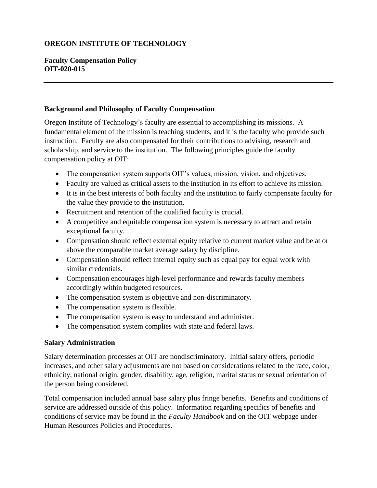# **OREGON INSTITUTE OF TECHNOLOGY**

## **Faculty Compensation Policy OIT-020-015**

#### **Background and Philosophy of Faculty Compensation**

Oregon Institute of Technology's faculty are essential to accomplishing its missions. A fundamental element of the mission is teaching students, and it is the faculty who provide such instruction. Faculty are also compensated for their contributions to advising, research and scholarship, and service to the institution. The following principles guide the faculty compensation policy at OIT:

- The compensation system supports OIT's values, mission, vision, and objectives.
- Faculty are valued as critical assets to the institution in its effort to achieve its mission.
- It is in the best interests of both faculty and the institution to fairly compensate faculty for the value they provide to the institution.
- Recruitment and retention of the qualified faculty is crucial.
- A competitive and equitable compensation system is necessary to attract and retain exceptional faculty.
- Compensation should reflect external equity relative to current market value and be at or above the comparable market average salary by discipline.
- Compensation should reflect internal equity such as equal pay for equal work with similar credentials.
- Compensation encourages high-level performance and rewards faculty members accordingly within budgeted resources.
- The compensation system is objective and non-discriminatory.
- The compensation system is flexible.
- The compensation system is easy to understand and administer.
- The compensation system complies with state and federal laws.

#### **Salary Administration**

Salary determination processes at OIT are nondiscriminatory. Initial salary offers, periodic increases, and other salary adjustments are not based on considerations related to the race, color, ethnicity, national origin, gender, disability, age, religion, marital status or sexual orientation of the person being considered.

Total compensation included annual base salary plus fringe benefits. Benefits and conditions of service are addressed outside of this policy. Information regarding specifics of benefits and conditions of service may be found in the *Faculty Handbook* and on the OIT webpage under Human Resources Policies and Procedures.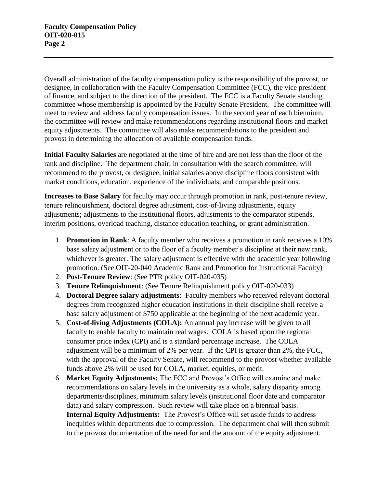Overall administration of the faculty compensation policy is the responsibility of the provost, or designee, in collaboration with the Faculty Compensation Committee (FCC), the vice president of finance, and subject to the direction of the president. The FCC is a Faculty Senate standing committee whose membership is appointed by the Faculty Senate President. The committee will meet to review and address faculty compensation issues. In the second year of each biennium, the committee will review and make recommendations regarding institutional floors and market equity adjustments. The committee will also make recommendations to the president and provost in determining the allocation of available compensation funds.

**Initial Faculty Salaries** are negotiated at the time of hire and are not less than the floor of the rank and discipline. The department chair, in consultation with the search committee, will recommend to the provost, or designee, initial salaries above discipline floors consistent with market conditions, education, experience of the individuals, and comparable positions.

**Increases to Base Salary** for faculty may occur through promotion in rank, post-tenure review, tenure relinquishment, doctoral degree adjustment, cost-of-living adjustments, equity adjustments; adjustments to the institutional floors, adjustments to the comparator stipends, interim positions, overload teaching, distance education teaching, or grant administration.

- 1. **Promotion in Rank**: A faculty member who receives a promotion in rank receives a 10% base salary adjustment or to the floor of a faculty member's discipline at their new rank, whichever is greater. The salary adjustment is effective with the academic year following promotion. (See OIT-20-040 Academic Rank and Promotion for Instructional Faculty)
- 2. **Post**-**Tenure Review**: (See PTR policy OIT-020-035)
- 3. **Tenure Relinquishment**: (See Tenure Relinquishment policy OIT-020-033)
- 4. **Doctoral Degree salary adjustments**: Faculty members who received relevant doctoral degrees from recognized higher education institutions in their discipline shall receive a base salary adjustment of \$750 applicable at the beginning of the next academic year.
- 5. **Cost-of-living Adjustments (COLA):** An annual pay increase will be given to all faculty to enable faculty to maintain real wages. COLA is based upon the regional consumer price index (CPI) and is a standard percentage increase. The COLA adjustment will be a minimum of 2% per year. If the CPI is greater than 2%, the FCC, with the approval of the Faculty Senate, will recommend to the provost whether available funds above 2% will be used for COLA, market, equities, or merit.
- 6. **Market Equity Adjustments:** The FCC and Provost's Office will examine and make recommendations on salary levels in the university as a whole, salary disparity among departments/disciplines, minimum salary levels (institutional floor date and comparator data) and salary compression. Such review will take place on a biennial basis. **Internal Equity Adjustments:** The Provost's Office will set aside funds to address inequities within departments due to compression. The department chai will then submit to the provost documentation of the need for and the amount of the equity adjustment.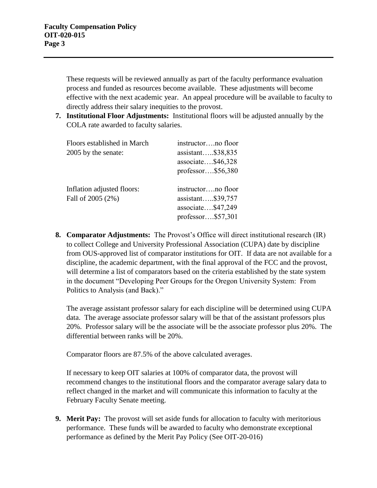These requests will be reviewed annually as part of the faculty performance evaluation process and funded as resources become available. These adjustments will become effective with the next academic year. An appeal procedure will be available to faculty to directly address their salary inequities to the provost.

**7. Institutional Floor Adjustments:** Institutional floors will be adjusted annually by the COLA rate awarded to faculty salaries.

| Floors established in March<br>2005 by the senate: | instructorno floor<br>assistant\$38,835<br>associate $$46,328$<br>professor\$56,380   |
|----------------------------------------------------|---------------------------------------------------------------------------------------|
| Inflation adjusted floors:<br>Fall of 2005 (2%)    | instructorno floor<br>assistant $$39,757$<br>associate\$47,249<br>professor $$57,301$ |

**8. Comparator Adjustments:** The Provost's Office will direct institutional research (IR) to collect College and University Professional Association (CUPA) date by discipline from OUS-approved list of comparator institutions for OIT. If data are not available for a discipline, the academic department, with the final approval of the FCC and the provost, will determine a list of comparators based on the criteria established by the state system in the document "Developing Peer Groups for the Oregon University System: From Politics to Analysis (and Back)."

The average assistant professor salary for each discipline will be determined using CUPA data. The average associate professor salary will be that of the assistant professors plus 20%. Professor salary will be the associate will be the associate professor plus 20%. The differential between ranks will be 20%.

Comparator floors are 87.5% of the above calculated averages.

If necessary to keep OIT salaries at 100% of comparator data, the provost will recommend changes to the institutional floors and the comparator average salary data to reflect changed in the market and will communicate this information to faculty at the February Faculty Senate meeting.

**9. Merit Pay:** The provost will set aside funds for allocation to faculty with meritorious performance. These funds will be awarded to faculty who demonstrate exceptional performance as defined by the Merit Pay Policy (See OIT-20-016)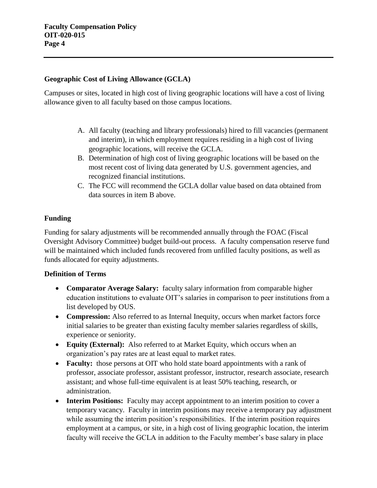## **Geographic Cost of Living Allowance (GCLA)**

Campuses or sites, located in high cost of living geographic locations will have a cost of living allowance given to all faculty based on those campus locations.

- A. All faculty (teaching and library professionals) hired to fill vacancies (permanent and interim), in which employment requires residing in a high cost of living geographic locations, will receive the GCLA.
- B. Determination of high cost of living geographic locations will be based on the most recent cost of living data generated by U.S. government agencies, and recognized financial institutions.
- C. The FCC will recommend the GCLA dollar value based on data obtained from data sources in item B above.

# **Funding**

Funding for salary adjustments will be recommended annually through the FOAC (Fiscal Oversight Advisory Committee) budget build-out process. A faculty compensation reserve fund will be maintained which included funds recovered from unfilled faculty positions, as well as funds allocated for equity adjustments.

### **Definition of Terms**

- **Comparator Average Salary:** faculty salary information from comparable higher education institutions to evaluate OIT's salaries in comparison to peer institutions from a list developed by OUS.
- **Compression:** Also referred to as Internal Inequity, occurs when market factors force initial salaries to be greater than existing faculty member salaries regardless of skills, experience or seniority.
- **Equity (External):** Also referred to at Market Equity, which occurs when an organization's pay rates are at least equal to market rates.
- **Faculty:** those persons at OIT who hold state board appointments with a rank of professor, associate professor, assistant professor, instructor, research associate, research assistant; and whose full-time equivalent is at least 50% teaching, research, or administration.
- **Interim Positions:** Faculty may accept appointment to an interim position to cover a temporary vacancy. Faculty in interim positions may receive a temporary pay adjustment while assuming the interim position's responsibilities. If the interim position requires employment at a campus, or site, in a high cost of living geographic location, the interim faculty will receive the GCLA in addition to the Faculty member's base salary in place